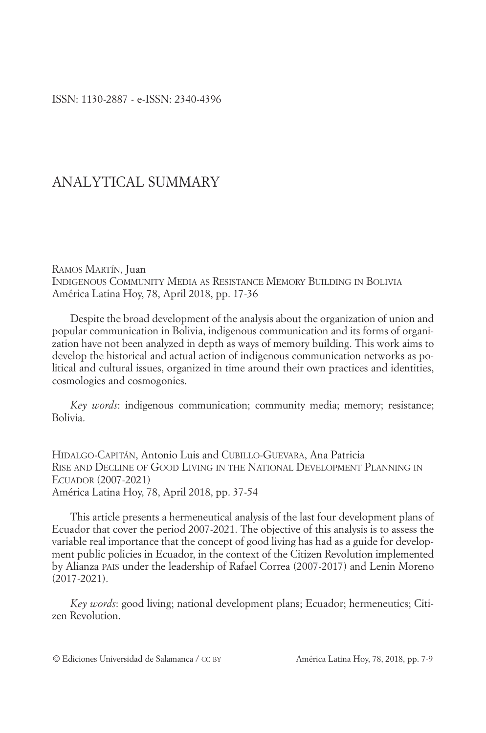## ANALYTICAL SUMMARY

RAMOS MARTÍN, Juan INDIGENOUS COMMUNITY MEDIA AS RESISTANCE MEMORY BUILDING IN BOLIVIA América Latina Hoy, 78, April 2018, pp. 17-36

Despite the broad development of the analysis about the organization of union and popular communication in Bolivia, indigenous communication and its forms of organization have not been analyzed in depth as ways of memory building. This work aims to develop the historical and actual action of indigenous communication networks as political and cultural issues, organized in time around their own practices and identities, cosmologies and cosmogonies.

*Key words*: indigenous communication; community media; memory; resistance; Bolivia.

HIDALGO-CAPITÁN, Antonio Luis and CUBILLO-GUEVARA, Ana Patricia RISE AND DECLINE OF GOOD LIVING IN THE NATIONAL DEVELOPMENT PLANNING IN ECUADOR (2007-2021) América Latina Hoy, 78, April 2018, pp. 37-54

This article presents a hermeneutical analysis of the last four development plans of Ecuador that cover the period 2007-2021. The objective of this analysis is to assess the variable real importance that the concept of good living has had as a guide for development public policies in Ecuador, in the context of the Citizen Revolution implemented by Alianza PAIS under the leadership of Rafael Correa (2007-2017) and Lenin Moreno (2017-2021).

*Key words*: good living; national development plans; Ecuador; hermeneutics; Citizen Revolution.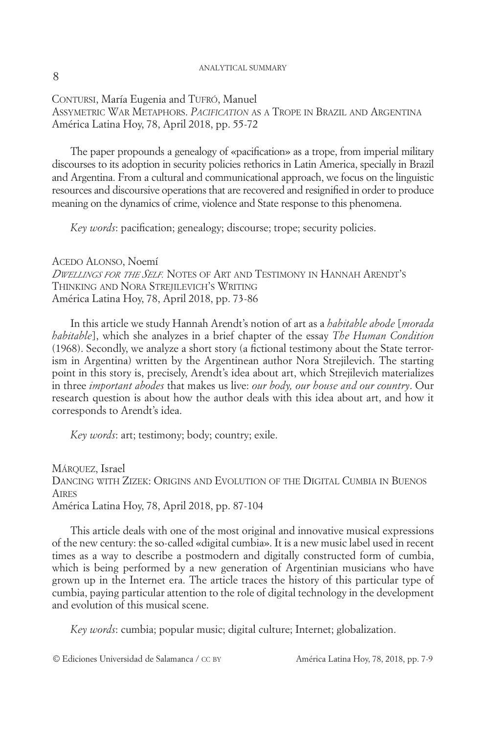## ANALYTICAL SUMMARY

CONTURSI, María Eugenia and TUFRÓ, Manuel ASSYMETRIC WAR METAPHORS. *PACIFICATION* AS A TROPE IN BRAZIL AND ARGENTINA América Latina Hoy, 78, April 2018, pp. 55-72

The paper propounds a genealogy of «pacification» as a trope, from imperial military discourses to its adoption in security policies rethorics in Latin America, specially in Brazil and Argentina. From a cultural and communicational approach, we focus on the linguistic resources and discoursive operations that are recovered and resignified in order to produce meaning on the dynamics of crime, violence and State response to this phenomena.

*Key words*: pacification; genealogy; discourse; trope; security policies.

ACEDO ALONSO, Noemí *DWELLINGS FOR THE SELF.* NOTES OF ART AND TESTIMONY IN HANNAH ARENDT'S THINKING AND NORA STREJILEVICH'S WRITING América Latina Hoy, 78, April 2018, pp. 73-86

In this article we study Hannah Arendt's notion of art as a *habitable abode* [*morada habitable*], which she analyzes in a brief chapter of the essay *The Human Condition* (1968). Secondly, we analyze a short story (a fictional testimony about the State terrorism in Argentina) written by the Argentinean author Nora Strejilevich. The starting point in this story is, precisely, Arendt's idea about art, which Strejilevich materializes in three *important abodes* that makes us live: *our body, our house and our country*. Our research question is about how the author deals with this idea about art, and how it corresponds to Arendt's idea.

*Key words*: art; testimony; body; country; exile.

MÁRQUEZ, Israel DANCING WITH ZIZEK: ORIGINS AND EVOLUTION OF THE DIGITAL CUMBIA IN BUENOS **AIRES** América Latina Hoy, 78, April 2018, pp. 87-104

This article deals with one of the most original and innovative musical expressions of the new century: the so-called «digital cumbia». It is a new music label used in recent times as a way to describe a postmodern and digitally constructed form of cumbia, which is being performed by a new generation of Argentinian musicians who have grown up in the Internet era. The article traces the history of this particular type of cumbia, paying particular attention to the role of digital technology in the development and evolution of this musical scene.

*Key words*: cumbia; popular music; digital culture; Internet; globalization.